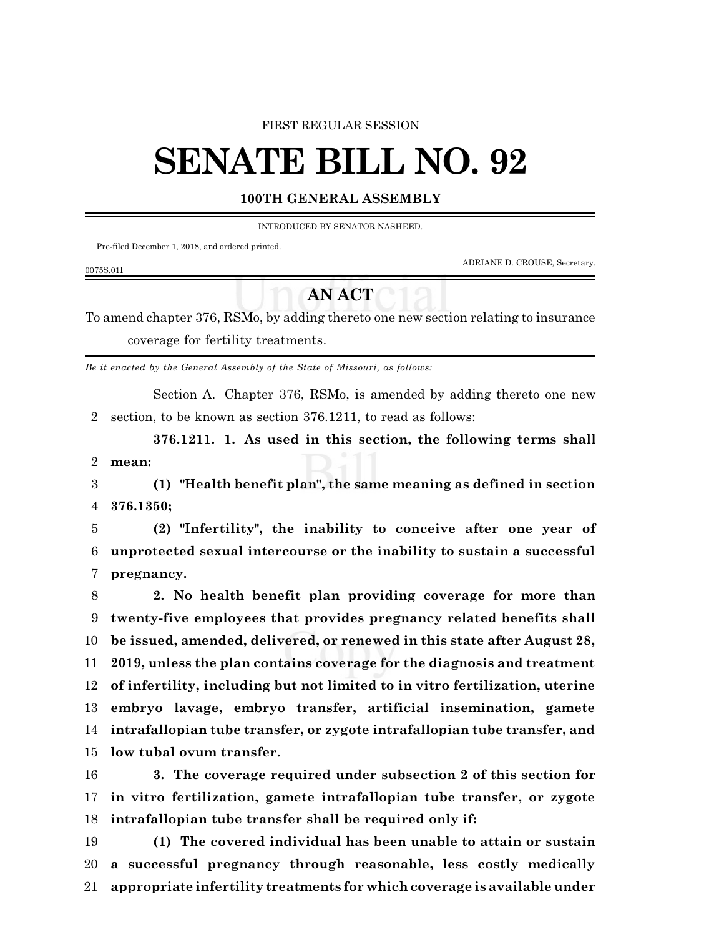### FIRST REGULAR SESSION

# **SENATE BILL NO. 92**

## **100TH GENERAL ASSEMBLY**

INTRODUCED BY SENATOR NASHEED.

Pre-filed December 1, 2018, and ordered printed.

ADRIANE D. CROUSE, Secretary.

#### 0075S.01I

# **AN ACT**

To amend chapter 376, RSMo, by adding thereto one new section relating to insurance coverage for fertility treatments.

*Be it enacted by the General Assembly of the State of Missouri, as follows:*

Section A. Chapter 376, RSMo, is amended by adding thereto one new section, to be known as section 376.1211, to read as follows:

**376.1211. 1. As used in this section, the following terms shall mean:**

 **(1) "Health benefit plan", the same meaning as defined in section 376.1350;**

 **(2) "Infertility", the inability to conceive after one year of unprotected sexual intercourse or the inability to sustain a successful pregnancy.**

 **2. No health benefit plan providing coverage for more than twenty-five employees that provides pregnancy related benefits shall be issued, amended, delivered, or renewed in this state after August 28, 2019, unless the plan contains coverage for the diagnosis and treatment of infertility, including but not limited to in vitro fertilization, uterine embryo lavage, embryo transfer, artificial insemination, gamete intrafallopian tube transfer, or zygote intrafallopian tube transfer, and low tubal ovum transfer.**

 **3. The coverage required under subsection 2 of this section for in vitro fertilization, gamete intrafallopian tube transfer, or zygote intrafallopian tube transfer shall be required only if:**

 **(1) The covered individual has been unable to attain or sustain a successful pregnancy through reasonable, less costly medically appropriate infertility treatments for which coverage is available under**